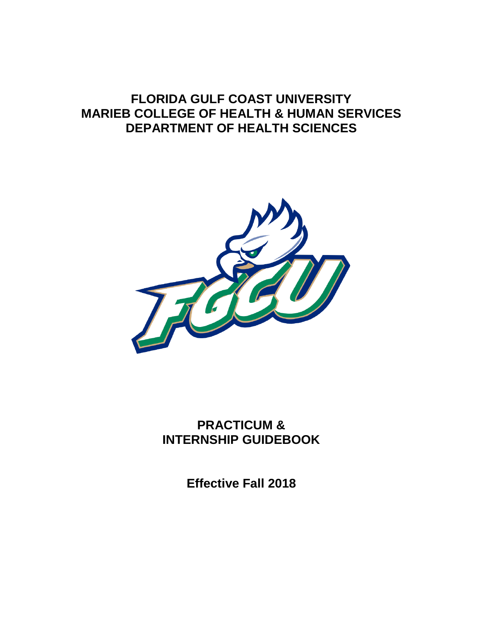# **FLORIDA GULF COAST UNIVERSITY MARIEB COLLEGE OF HEALTH & HUMAN SERVICES DEPARTMENT OF HEALTH SCIENCES**



**PRACTICUM & INTERNSHIP GUIDEBOOK**

**Effective Fall 2018**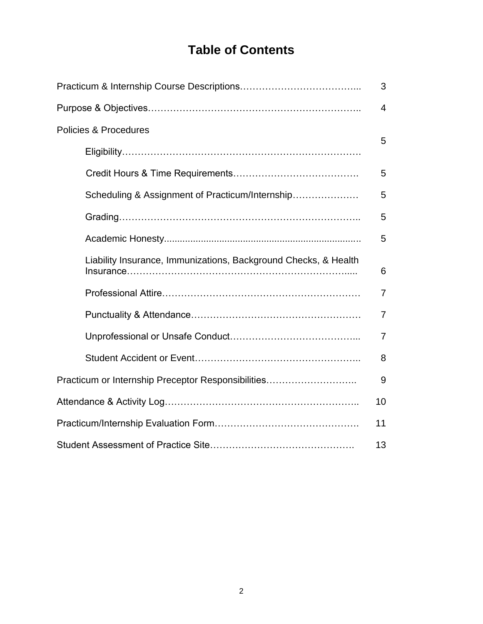# **Table of Contents**

|                                                                 | 3              |
|-----------------------------------------------------------------|----------------|
|                                                                 | $\overline{4}$ |
| <b>Policies &amp; Procedures</b>                                | 5              |
|                                                                 |                |
|                                                                 | 5              |
| Scheduling & Assignment of Practicum/Internship                 | 5              |
|                                                                 | 5              |
|                                                                 | 5              |
| Liability Insurance, Immunizations, Background Checks, & Health | 6              |
|                                                                 | $\overline{7}$ |
|                                                                 | $\overline{7}$ |
|                                                                 | $\overline{7}$ |
|                                                                 | 8              |
| Practicum or Internship Preceptor Responsibilities              | 9              |
|                                                                 | 10             |
|                                                                 | 11             |
|                                                                 | 13             |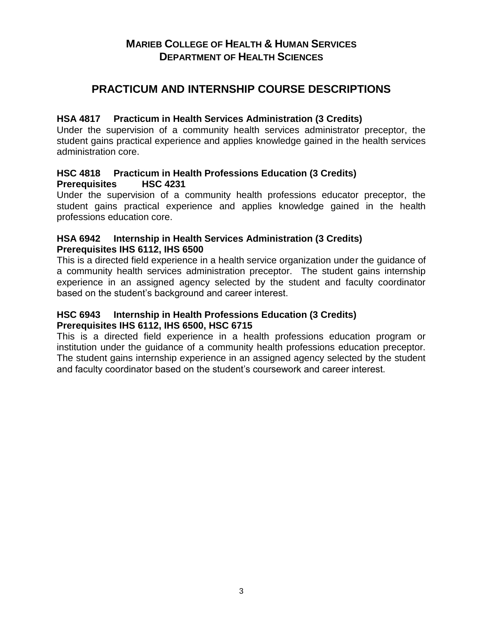### **MARIEB COLLEGE OF HEALTH & HUMAN SERVICES DEPARTMENT OF HEALTH SCIENCES**

## **PRACTICUM AND INTERNSHIP COURSE DESCRIPTIONS**

#### **HSA 4817 Practicum in Health Services Administration (3 Credits)**

Under the supervision of a community health services administrator preceptor, the student gains practical experience and applies knowledge gained in the health services administration core.

#### **HSC 4818 Practicum in Health Professions Education (3 Credits) Prerequisites HSC 4231**

Under the supervision of a community health professions educator preceptor, the student gains practical experience and applies knowledge gained in the health professions education core.

#### **HSA 6942 Internship in Health Services Administration (3 Credits) Prerequisites IHS 6112, IHS 6500**

This is a directed field experience in a health service organization under the guidance of a community health services administration preceptor. The student gains internship experience in an assigned agency selected by the student and faculty coordinator based on the student's background and career interest.

#### **HSC 6943 Internship in Health Professions Education (3 Credits) Prerequisites IHS 6112, IHS 6500, HSC 6715**

This is a directed field experience in a health professions education program or institution under the guidance of a community health professions education preceptor. The student gains internship experience in an assigned agency selected by the student and faculty coordinator based on the student's coursework and career interest.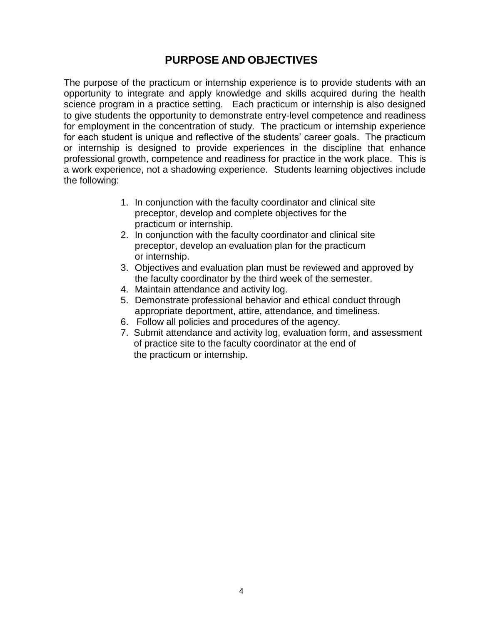## **PURPOSE AND OBJECTIVES**

The purpose of the practicum or internship experience is to provide students with an opportunity to integrate and apply knowledge and skills acquired during the health science program in a practice setting. Each practicum or internship is also designed to give students the opportunity to demonstrate entry-level competence and readiness for employment in the concentration of study. The practicum or internship experience for each student is unique and reflective of the students' career goals. The practicum or internship is designed to provide experiences in the discipline that enhance professional growth, competence and readiness for practice in the work place. This is a work experience, not a shadowing experience. Students learning objectives include the following:

- 1. In conjunction with the faculty coordinator and clinical site preceptor, develop and complete objectives for the practicum or internship.
- 2. In conjunction with the faculty coordinator and clinical site preceptor, develop an evaluation plan for the practicum or internship.
- 3. Objectives and evaluation plan must be reviewed and approved by the faculty coordinator by the third week of the semester.
- 4. Maintain attendance and activity log.
- 5. Demonstrate professional behavior and ethical conduct through appropriate deportment, attire, attendance, and timeliness.
- 6. Follow all policies and procedures of the agency.
- 7. Submit attendance and activity log, evaluation form, and assessment of practice site to the faculty coordinator at the end of the practicum or internship.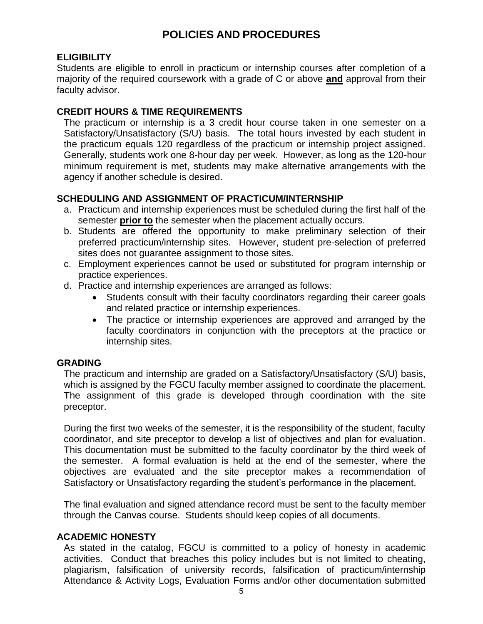# **POLICIES AND PROCEDURES**

### **ELIGIBILITY**

Students are eligible to enroll in practicum or internship courses after completion of a majority of the required coursework with a grade of C or above **and** approval from their faculty advisor.

#### **CREDIT HOURS & TIME REQUIREMENTS**

The practicum or internship is a 3 credit hour course taken in one semester on a Satisfactory/Unsatisfactory (S/U) basis. The total hours invested by each student in the practicum equals 120 regardless of the practicum or internship project assigned. Generally, students work one 8-hour day per week. However, as long as the 120-hour minimum requirement is met, students may make alternative arrangements with the agency if another schedule is desired.

#### **SCHEDULING AND ASSIGNMENT OF PRACTICUM/INTERNSHIP**

- a. Practicum and internship experiences must be scheduled during the first half of the semester **prior to** the semester when the placement actually occurs.
- b. Students are offered the opportunity to make preliminary selection of their preferred practicum/internship sites. However, student pre-selection of preferred sites does not guarantee assignment to those sites.
- c. Employment experiences cannot be used or substituted for program internship or practice experiences.
- d. Practice and internship experiences are arranged as follows:
	- Students consult with their faculty coordinators regarding their career goals and related practice or internship experiences.
	- The practice or internship experiences are approved and arranged by the faculty coordinators in conjunction with the preceptors at the practice or internship sites.

### **GRADING**

The practicum and internship are graded on a Satisfactory/Unsatisfactory (S/U) basis, which is assigned by the FGCU faculty member assigned to coordinate the placement. The assignment of this grade is developed through coordination with the site preceptor.

During the first two weeks of the semester, it is the responsibility of the student, faculty coordinator, and site preceptor to develop a list of objectives and plan for evaluation. This documentation must be submitted to the faculty coordinator by the third week of the semester. A formal evaluation is held at the end of the semester, where the objectives are evaluated and the site preceptor makes a recommendation of Satisfactory or Unsatisfactory regarding the student's performance in the placement.

The final evaluation and signed attendance record must be sent to the faculty member through the Canvas course. Students should keep copies of all documents.

#### **ACADEMIC HONESTY**

As stated in the catalog, FGCU is committed to a policy of honesty in academic activities. Conduct that breaches this policy includes but is not limited to cheating, plagiarism, falsification of university records, falsification of practicum/internship Attendance & Activity Logs, Evaluation Forms and/or other documentation submitted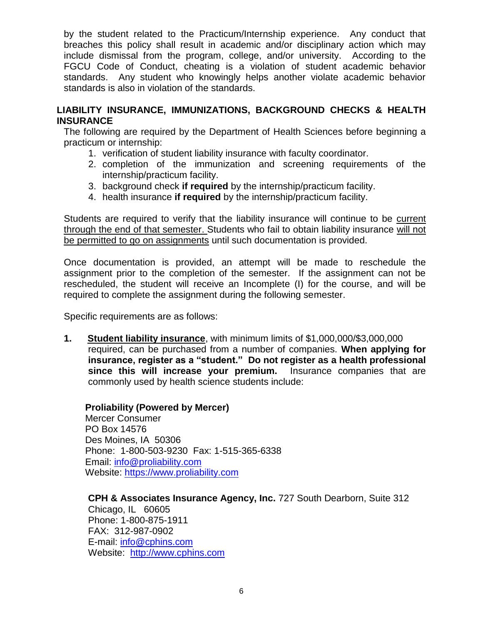by the student related to the Practicum/Internship experience. Any conduct that breaches this policy shall result in academic and/or disciplinary action which may include dismissal from the program, college, and/or university. According to the FGCU Code of Conduct, cheating is a violation of student academic behavior standards. Any student who knowingly helps another violate academic behavior standards is also in violation of the standards.

#### **LIABILITY INSURANCE, IMMUNIZATIONS, BACKGROUND CHECKS & HEALTH INSURANCE**

The following are required by the Department of Health Sciences before beginning a practicum or internship:

- 1. verification of student liability insurance with faculty coordinator.
- 2. completion of the immunization and screening requirements of the internship/practicum facility.
- 3. background check **if required** by the internship/practicum facility.
- 4. health insurance **if required** by the internship/practicum facility.

Students are required to verify that the liability insurance will continue to be current through the end of that semester. Students who fail to obtain liability insurance will not be permitted to go on assignments until such documentation is provided.

Once documentation is provided, an attempt will be made to reschedule the assignment prior to the completion of the semester. If the assignment can not be rescheduled, the student will receive an Incomplete (I) for the course, and will be required to complete the assignment during the following semester.

Specific requirements are as follows:

**1. Student liability insurance**, with minimum limits of \$1,000,000/\$3,000,000 required, can be purchased from a number of companies. **When applying for insurance, register as a "student." Do not register as a health professional since this will increase your premium.** Insurance companies that are commonly used by health science students include:

#### **Proliability (Powered by Mercer)**

Mercer Consumer PO Box 14576 Des Moines, IA 50306 Phone: 1-800-503-9230 Fax: 1-515-365-6338 Email: [info@proliability.com](mailto:info@proliability.com) Website: [https://www.proliability.com](https://www.proliability.com/)

**CPH & Associates Insurance Agency, Inc.** 727 South Dearborn, Suite 312 Chicago, IL 60605 Phone: 1-800-875-1911 FAX: 312-987-0902 E-mail: [info@cphins.com](mailto:information@cphins.com) Website: [http://www.cphins.com](http://www.cphins.com/)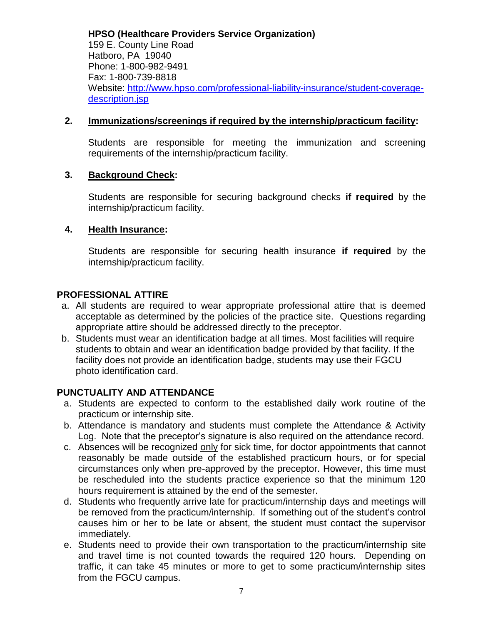**HPSO (Healthcare Providers Service Organization)**  159 E. County Line Road Hatboro, PA 19040 Phone: 1-800-982-9491 Fax: 1-800-739-8818 Website: [http://www.hpso.com/professional-liability-insurance/student-coverage](http://www.hpso.com/professional-liability-insurance/student-coverage-description.jsp)[description.jsp](http://www.hpso.com/professional-liability-insurance/student-coverage-description.jsp)

#### **2. Immunizations/screenings if required by the internship/practicum facility:**

Students are responsible for meeting the immunization and screening requirements of the internship/practicum facility.

#### **3. Background Check:**

Students are responsible for securing background checks **if required** by the internship/practicum facility.

#### **4. Health Insurance:**

Students are responsible for securing health insurance **if required** by the internship/practicum facility.

#### **PROFESSIONAL ATTIRE**

- a. All students are required to wear appropriate professional attire that is deemed acceptable as determined by the policies of the practice site. Questions regarding appropriate attire should be addressed directly to the preceptor.
- b. Students must wear an identification badge at all times. Most facilities will require students to obtain and wear an identification badge provided by that facility. If the facility does not provide an identification badge, students may use their FGCU photo identification card.

#### **PUNCTUALITY AND ATTENDANCE**

- a. Students are expected to conform to the established daily work routine of the practicum or internship site.
- b. Attendance is mandatory and students must complete the Attendance & Activity Log. Note that the preceptor's signature is also required on the attendance record.
- c. Absences will be recognized only for sick time, for doctor appointments that cannot reasonably be made outside of the established practicum hours, or for special circumstances only when pre-approved by the preceptor. However, this time must be rescheduled into the students practice experience so that the minimum 120 hours requirement is attained by the end of the semester.
- d. Students who frequently arrive late for practicum/internship days and meetings will be removed from the practicum/internship. If something out of the student's control causes him or her to be late or absent, the student must contact the supervisor immediately.
- e. Students need to provide their own transportation to the practicum/internship site and travel time is not counted towards the required 120 hours. Depending on traffic, it can take 45 minutes or more to get to some practicum/internship sites from the FGCU campus.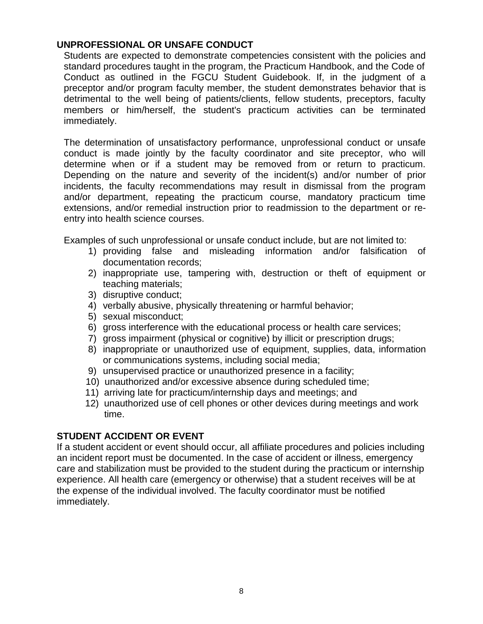#### **UNPROFESSIONAL OR UNSAFE CONDUCT**

Students are expected to demonstrate competencies consistent with the policies and standard procedures taught in the program, the Practicum Handbook, and the Code of Conduct as outlined in the FGCU Student Guidebook. If, in the judgment of a preceptor and/or program faculty member, the student demonstrates behavior that is detrimental to the well being of patients/clients, fellow students, preceptors, faculty members or him/herself, the student's practicum activities can be terminated immediately.

The determination of unsatisfactory performance, unprofessional conduct or unsafe conduct is made jointly by the faculty coordinator and site preceptor, who will determine when or if a student may be removed from or return to practicum. Depending on the nature and severity of the incident(s) and/or number of prior incidents, the faculty recommendations may result in dismissal from the program and/or department, repeating the practicum course, mandatory practicum time extensions, and/or remedial instruction prior to readmission to the department or reentry into health science courses.

Examples of such unprofessional or unsafe conduct include, but are not limited to:

- 1) providing false and misleading information and/or falsification of documentation records;
- 2) inappropriate use, tampering with, destruction or theft of equipment or teaching materials;
- 3) disruptive conduct;
- 4) verbally abusive, physically threatening or harmful behavior;
- 5) sexual misconduct;
- 6) gross interference with the educational process or health care services;
- 7) gross impairment (physical or cognitive) by illicit or prescription drugs;
- 8) inappropriate or unauthorized use of equipment, supplies, data, information or communications systems, including social media;
- 9) unsupervised practice or unauthorized presence in a facility;
- 10) unauthorized and/or excessive absence during scheduled time;
- 11) arriving late for practicum/internship days and meetings; and
- 12) unauthorized use of cell phones or other devices during meetings and work time.

#### **STUDENT ACCIDENT OR EVENT**

If a student accident or event should occur, all affiliate procedures and policies including an incident report must be documented. In the case of accident or illness, emergency care and stabilization must be provided to the student during the practicum or internship experience. All health care (emergency or otherwise) that a student receives will be at the expense of the individual involved. The faculty coordinator must be notified immediately.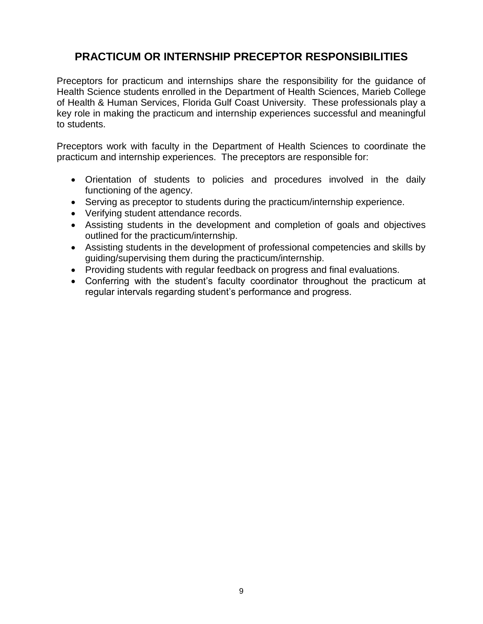# **PRACTICUM OR INTERNSHIP PRECEPTOR RESPONSIBILITIES**

Preceptors for practicum and internships share the responsibility for the guidance of Health Science students enrolled in the Department of Health Sciences, Marieb College of Health & Human Services, Florida Gulf Coast University. These professionals play a key role in making the practicum and internship experiences successful and meaningful to students.

Preceptors work with faculty in the Department of Health Sciences to coordinate the practicum and internship experiences. The preceptors are responsible for:

- Orientation of students to policies and procedures involved in the daily functioning of the agency.
- Serving as preceptor to students during the practicum/internship experience.
- Verifying student attendance records.
- Assisting students in the development and completion of goals and objectives outlined for the practicum/internship.
- Assisting students in the development of professional competencies and skills by guiding/supervising them during the practicum/internship.
- Providing students with regular feedback on progress and final evaluations.
- Conferring with the student's faculty coordinator throughout the practicum at regular intervals regarding student's performance and progress.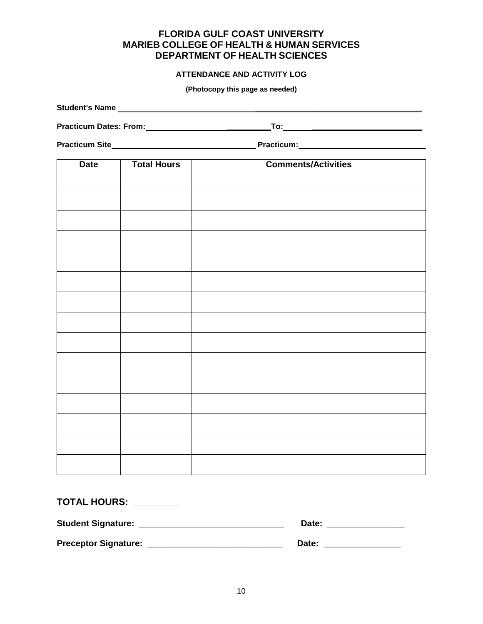### **FLORIDA GULF COAST UNIVERSITY MARIEB COLLEGE OF HEALTH & HUMAN SERVICES DEPARTMENT OF HEALTH SCIENCES**

#### **ATTENDANCE AND ACTIVITY LOG**

**(Photocopy this page as needed)**

| <b>Date</b> | <b>Total Hours</b> | <b>Comments/Activities</b> |  |
|-------------|--------------------|----------------------------|--|
|             |                    |                            |  |
|             |                    |                            |  |
|             |                    |                            |  |
|             |                    |                            |  |
|             |                    |                            |  |
|             |                    |                            |  |
|             |                    |                            |  |
|             |                    |                            |  |
|             |                    |                            |  |
|             |                    |                            |  |
|             |                    |                            |  |
|             |                    |                            |  |
|             |                    |                            |  |
|             |                    |                            |  |
|             |                    |                            |  |

| <b>TOTAL HOURS:</b>         |       |
|-----------------------------|-------|
| <b>Student Signature:</b>   | Date: |
| <b>Preceptor Signature:</b> | Date: |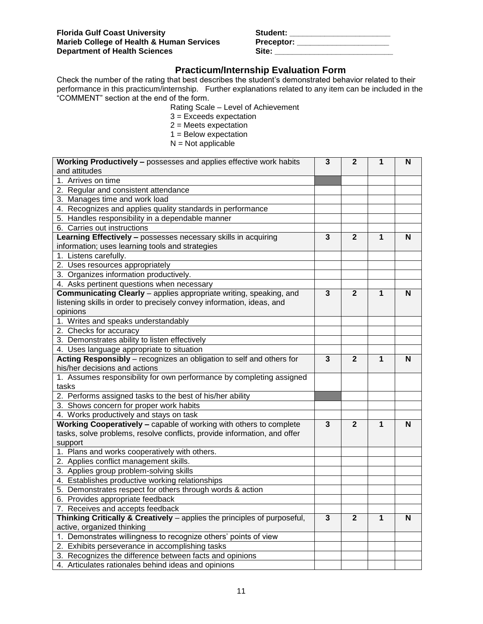| Student:          |  |
|-------------------|--|
| <b>Preceptor:</b> |  |
| Site:             |  |

### **Practicum/Internship Evaluation Form**

Check the number of the rating that best describes the student's demonstrated behavior related to their performance in this practicum/internship. Further explanations related to any item can be included in the "COMMENT" section at the end of the form.

Rating Scale – Level of Achievement

- 3 = Exceeds expectation
- 2 = Meets expectation
- 1 = Below expectation
- $N = Not$  applicable

| <b>Working Productively - possesses and applies effective work habits</b> | 3            | $\mathbf{2}$   | 1 | N |
|---------------------------------------------------------------------------|--------------|----------------|---|---|
| and attitudes                                                             |              |                |   |   |
| 1. Arrives on time                                                        |              |                |   |   |
| 2. Regular and consistent attendance                                      |              |                |   |   |
| 3. Manages time and work load                                             |              |                |   |   |
| 4. Recognizes and applies quality standards in performance                |              |                |   |   |
| 5. Handles responsibility in a dependable manner                          |              |                |   |   |
| 6. Carries out instructions                                               |              |                |   |   |
| Learning Effectively - possesses necessary skills in acquiring            | 3            | $\mathbf{2}$   | 1 | N |
| information; uses learning tools and strategies                           |              |                |   |   |
| 1. Listens carefully.                                                     |              |                |   |   |
| 2. Uses resources appropriately                                           |              |                |   |   |
| 3. Organizes information productively.                                    |              |                |   |   |
| 4. Asks pertinent questions when necessary                                |              |                |   |   |
| Communicating Clearly - applies appropriate writing, speaking, and        | $\mathbf{3}$ | $\overline{2}$ | 1 | N |
| listening skills in order to precisely convey information, ideas, and     |              |                |   |   |
| opinions                                                                  |              |                |   |   |
| 1. Writes and speaks understandably                                       |              |                |   |   |
| 2. Checks for accuracy                                                    |              |                |   |   |
| 3. Demonstrates ability to listen effectively                             |              |                |   |   |
| 4. Uses language appropriate to situation                                 |              |                |   |   |
| Acting Responsibly - recognizes an obligation to self and others for      | 3            | $\mathbf{2}$   | 1 | N |
| his/her decisions and actions                                             |              |                |   |   |
| 1. Assumes responsibility for own performance by completing assigned      |              |                |   |   |
| tasks                                                                     |              |                |   |   |
| 2. Performs assigned tasks to the best of his/her ability                 |              |                |   |   |
| 3. Shows concern for proper work habits                                   |              |                |   |   |
| 4. Works productively and stays on task                                   |              |                |   |   |
| Working Cooperatively - capable of working with others to complete        | 3            | $\mathbf{2}$   | 1 | N |
| tasks, solve problems, resolve conflicts, provide information, and offer  |              |                |   |   |
| support                                                                   |              |                |   |   |
| 1. Plans and works cooperatively with others.                             |              |                |   |   |
| 2. Applies conflict management skills.                                    |              |                |   |   |
| 3. Applies group problem-solving skills                                   |              |                |   |   |
| 4. Establishes productive working relationships                           |              |                |   |   |
| 5. Demonstrates respect for others through words & action                 |              |                |   |   |
| 6. Provides appropriate feedback                                          |              |                |   |   |
| 7. Receives and accepts feedback                                          |              |                |   |   |
| Thinking Critically & Creatively - applies the principles of purposeful,  | 3            | $\mathbf{2}$   | 1 | N |
| active, organized thinking                                                |              |                |   |   |
| 1. Demonstrates willingness to recognize others' points of view           |              |                |   |   |
| 2. Exhibits perseverance in accomplishing tasks                           |              |                |   |   |
| 3. Recognizes the difference between facts and opinions                   |              |                |   |   |
| 4. Articulates rationales behind ideas and opinions                       |              |                |   |   |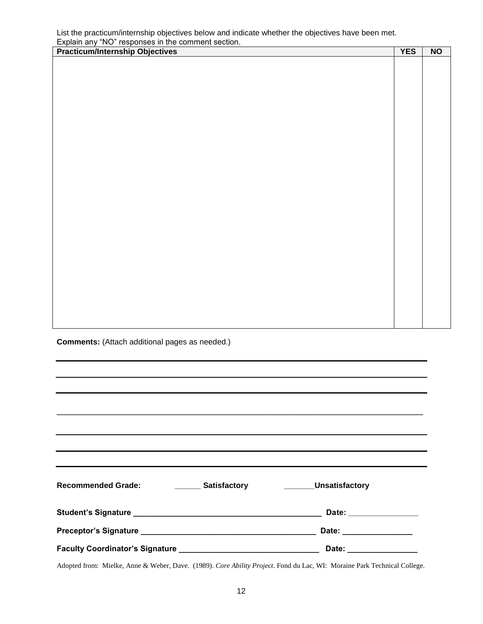List the practicum/internship objectives below and indicate whether the objectives have been met. Explain any "NO" responses in the comment section.

| <b>Practicum/Internship Objectives</b> | <b>YES</b> | <b>NO</b> |
|----------------------------------------|------------|-----------|
|                                        |            |           |
|                                        |            |           |
|                                        |            |           |
|                                        |            |           |
|                                        |            |           |
|                                        |            |           |
|                                        |            |           |
|                                        |            |           |
|                                        |            |           |
|                                        |            |           |
|                                        |            |           |
|                                        |            |           |
|                                        |            |           |
|                                        |            |           |
|                                        |            |           |
|                                        |            |           |
|                                        |            |           |
|                                        |            |           |
|                                        |            |           |
|                                        |            |           |
|                                        |            |           |
|                                        |            |           |
|                                        |            |           |
|                                        |            |           |
|                                        |            |           |
|                                        |            |           |
|                                        |            |           |

**Comments:** (Attach additional pages as needed.)

| ,我们也不能在这里的时候,我们也不能在这里的时候,我们也不能不能不能不能不能不能不能不能不能不能不能不能不能不能不能。<br>第2012章 我们的时候,我们的时候,我们的时候,我们的时候,我们的时候,我们的时候,我们的时候,我们的时候,我们的时候,我们的时候,我们的时候,我们的时候,我 |                                                                                                                                                                                                                                      |
|-------------------------------------------------------------------------------------------------------------------------------------------------|--------------------------------------------------------------------------------------------------------------------------------------------------------------------------------------------------------------------------------------|
|                                                                                                                                                 |                                                                                                                                                                                                                                      |
|                                                                                                                                                 |                                                                                                                                                                                                                                      |
| Recommended Grade: ___________ Satisfactory ___________Unsatisfactory                                                                           |                                                                                                                                                                                                                                      |
|                                                                                                                                                 |                                                                                                                                                                                                                                      |
|                                                                                                                                                 | Date: <u>with a series of the series of the series of the series of the series of the series of the series of the series of the series of the series of the series of the series of the series of the series of the series of th</u> |
|                                                                                                                                                 | Date: _________________                                                                                                                                                                                                              |

Adopted from: Mielke, Anne & Weber, Dave. (1989). *Core Ability Project*. Fond du Lac, WI: Moraine Park Technical College.